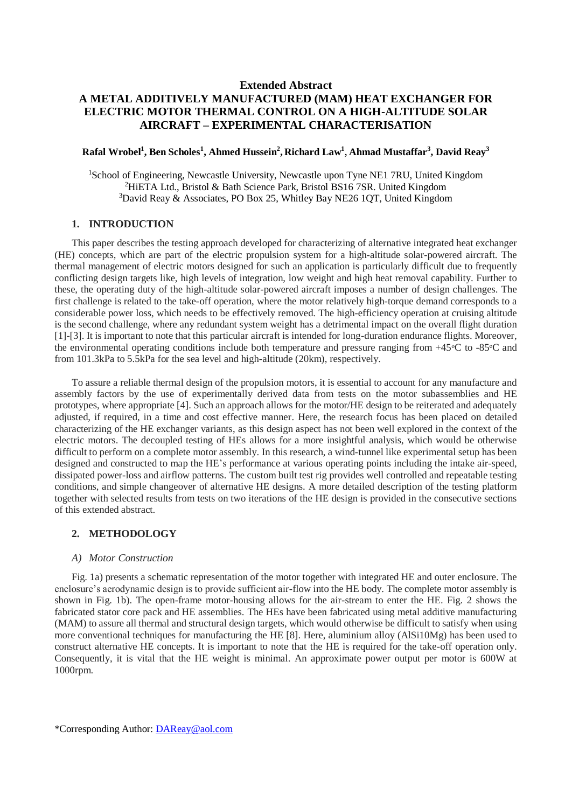## **Extended Abstract A METAL ADDITIVELY MANUFACTURED (MAM) HEAT EXCHANGER FOR ELECTRIC MOTOR THERMAL CONTROL ON A HIGH-ALTITUDE SOLAR AIRCRAFT – EXPERIMENTAL CHARACTERISATION**

## **Rafal Wrobel<sup>1</sup> , Ben Scholes<sup>1</sup> , Ahmed Hussein<sup>2</sup> , Richard Law<sup>1</sup>** , **Ahmad Mustaffar<sup>3</sup> , David Reay<sup>3</sup>**

<sup>1</sup>School of Engineering, Newcastle University, Newcastle upon Tyne NE1 7RU, United Kingdom <sup>2</sup>HiETA Ltd., Bristol & Bath Science Park, Bristol BS16 7SR. United Kingdom <sup>3</sup>David Reay & Associates, PO Box 25, Whitley Bay NE26 1QT, United Kingdom

#### **1. INTRODUCTION**

This paper describes the testing approach developed for characterizing of alternative integrated heat exchanger (HE) concepts, which are part of the electric propulsion system for a high-altitude solar-powered aircraft. The thermal management of electric motors designed for such an application is particularly difficult due to frequently conflicting design targets like, high levels of integration, low weight and high heat removal capability. Further to these, the operating duty of the high-altitude solar-powered aircraft imposes a number of design challenges. The first challenge is related to the take-off operation, where the motor relatively high-torque demand corresponds to a considerable power loss, which needs to be effectively removed. The high-efficiency operation at cruising altitude is the second challenge, where any redundant system weight has a detrimental impact on the overall flight duration [1]-[3]. It is important to note that this particular aircraft is intended for long-duration endurance flights. Moreover, the environmental operating conditions include both temperature and pressure ranging from  $+45\degree C$  to  $-85\degree C$  and from 101.3kPa to 5.5kPa for the sea level and high-altitude (20km), respectively.

To assure a reliable thermal design of the propulsion motors, it is essential to account for any manufacture and assembly factors by the use of experimentally derived data from tests on the motor subassemblies and HE prototypes, where appropriate [4]. Such an approach allows for the motor/HE design to be reiterated and adequately adjusted, if required, in a time and cost effective manner. Here, the research focus has been placed on detailed characterizing of the HE exchanger variants, as this design aspect has not been well explored in the context of the electric motors. The decoupled testing of HEs allows for a more insightful analysis, which would be otherwise difficult to perform on a complete motor assembly. In this research, a wind-tunnel like experimental setup has been designed and constructed to map the HE's performance at various operating points including the intake air-speed, dissipated power-loss and airflow patterns. The custom built test rig provides well controlled and repeatable testing conditions, and simple changeover of alternative HE designs. A more detailed description of the testing platform together with selected results from tests on two iterations of the HE design is provided in the consecutive sections of this extended abstract.

### **2. METHODOLOGY**

#### *A) Motor Construction*

Fig. 1a) presents a schematic representation of the motor together with integrated HE and outer enclosure. The enclosure's aerodynamic design is to provide sufficient air-flow into the HE body. The complete motor assembly is shown in Fig. 1b). The open-frame motor-housing allows for the air-stream to enter the HE. Fig. 2 shows the fabricated stator core pack and HE assemblies. The HEs have been fabricated using metal additive manufacturing (MAM) to assure all thermal and structural design targets, which would otherwise be difficult to satisfy when using more conventional techniques for manufacturing the HE [8]. Here, aluminium alloy (AlSi10Mg) has been used to construct alternative HE concepts. It is important to note that the HE is required for the take-off operation only. Consequently, it is vital that the HE weight is minimal. An approximate power output per motor is 600W at 1000rpm.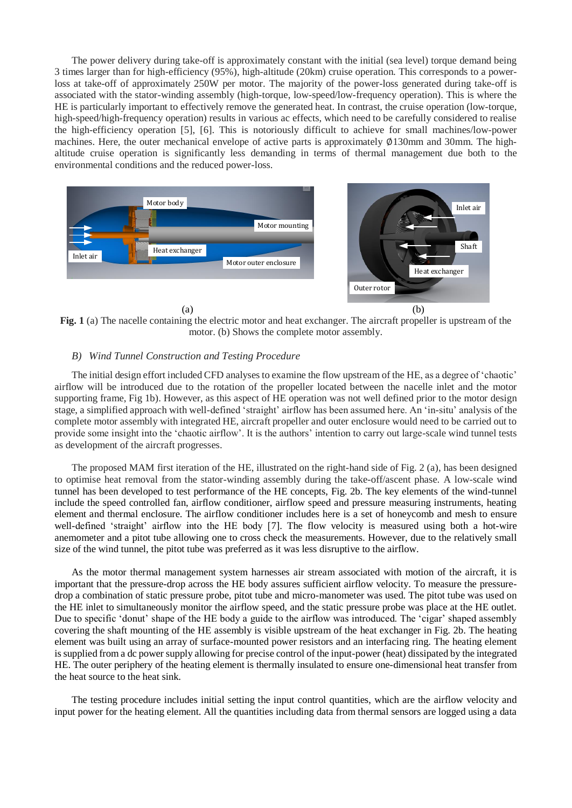The power delivery during take-off is approximately constant with the initial (sea level) torque demand being 3 times larger than for high-efficiency (95%), high-altitude (20km) cruise operation. This corresponds to a powerloss at take-off of approximately 250W per motor. The majority of the power-loss generated during take-off is associated with the stator-winding assembly (high-torque, low-speed/low-frequency operation). This is where the HE is particularly important to effectively remove the generated heat. In contrast, the cruise operation (low-torque, high-speed/high-frequency operation) results in various ac effects, which need to be carefully considered to realise the high-efficiency operation [5], [6]. This is notoriously difficult to achieve for small machines/low-power machines. Here, the outer mechanical envelope of active parts is approximately ∅130mm and 30mm. The highaltitude cruise operation is significantly less demanding in terms of thermal management due both to the environmental conditions and the reduced power-loss.



**Fig. 1** (a) The nacelle containing the electric motor and heat exchanger. The aircraft propeller is upstream of the motor. (b) Shows the complete motor assembly.

#### *B) Wind Tunnel Construction and Testing Procedure*

The initial design effort included CFD analyses to examine the flow upstream of the HE, as a degree of 'chaotic' airflow will be introduced due to the rotation of the propeller located between the nacelle inlet and the motor supporting frame, Fig 1b). However, as this aspect of HE operation was not well defined prior to the motor design stage, a simplified approach with well-defined 'straight' airflow has been assumed here. An 'in-situ' analysis of the complete motor assembly with integrated HE, aircraft propeller and outer enclosure would need to be carried out to provide some insight into the 'chaotic airflow'. It is the authors' intention to carry out large-scale wind tunnel tests as development of the aircraft progresses.

The proposed MAM first iteration of the HE, illustrated on the right-hand side of Fig. 2 (a), has been designed to optimise heat removal from the stator-winding assembly during the take-off/ascent phase. A low-scale wind tunnel has been developed to test performance of the HE concepts, Fig. 2b. The key elements of the wind-tunnel include the speed controlled fan, airflow conditioner, airflow speed and pressure measuring instruments, heating element and thermal enclosure. The airflow conditioner includes here is a set of honeycomb and mesh to ensure well-defined 'straight' airflow into the HE body [7]. The flow velocity is measured using both a hot-wire anemometer and a pitot tube allowing one to cross check the measurements. However, due to the relatively small size of the wind tunnel, the pitot tube was preferred as it was less disruptive to the airflow.

As the motor thermal management system harnesses air stream associated with motion of the aircraft, it is important that the pressure-drop across the HE body assures sufficient airflow velocity. To measure the pressuredrop a combination of static pressure probe, pitot tube and micro-manometer was used. The pitot tube was used on the HE inlet to simultaneously monitor the airflow speed, and the static pressure probe was place at the HE outlet. Due to specific 'donut' shape of the HE body a guide to the airflow was introduced. The 'cigar' shaped assembly covering the shaft mounting of the HE assembly is visible upstream of the heat exchanger in Fig. 2b. The heating element was built using an array of surface-mounted power resistors and an interfacing ring. The heating element is supplied from a dc power supply allowing for precise control of the input-power (heat) dissipated by the integrated HE. The outer periphery of the heating element is thermally insulated to ensure one-dimensional heat transfer from the heat source to the heat sink.

The testing procedure includes initial setting the input control quantities, which are the airflow velocity and input power for the heating element. All the quantities including data from thermal sensors are logged using a data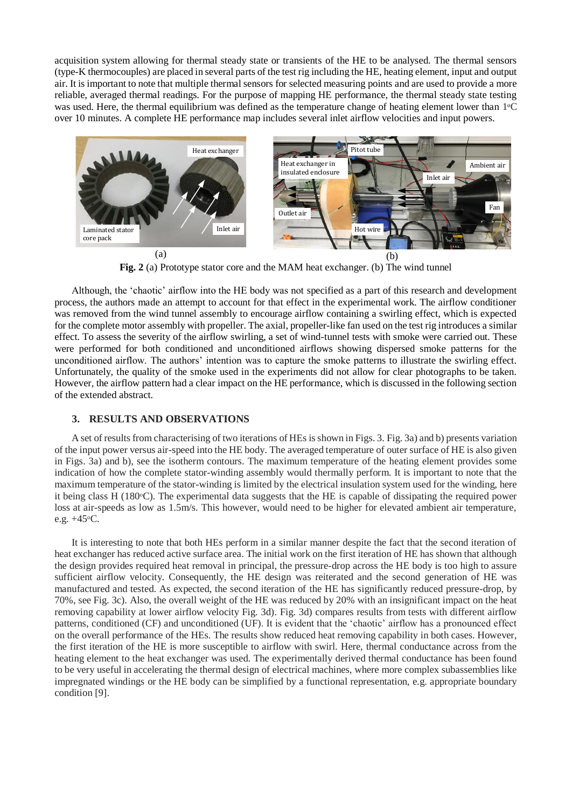acquisition system allowing for thermal steady state or transients of the HE to be analysed. The thermal sensors (type-K thermocouples) are placed in several parts of the test rig including the HE, heating element, input and output air. It is important to note that multiple thermal sensors for selected measuring points and are used to provide a more reliable, averaged thermal readings. For the purpose of mapping HE performance, the thermal steady state testing was used. Here, the thermal equilibrium was defined as the temperature change of heating element lower than 1<sup>o</sup>C over 10 minutes. A complete HE performance map includes several inlet airflow velocities and input powers.



**Fig. 2** (a) Prototype stator core and the MAM heat exchanger. (b) The wind tunnel

Although, the 'chaotic' airflow into the HE body was not specified as a part of this research and development process, the authors made an attempt to account for that effect in the experimental work. The airflow conditioner was removed from the wind tunnel assembly to encourage airflow containing a swirling effect, which is expected for the complete motor assembly with propeller. The axial, propeller-like fan used on the test rig introduces a similar effect. To assess the severity of the airflow swirling, a set of wind-tunnel tests with smoke were carried out. These were performed for both conditioned and unconditioned airflows showing dispersed smoke patterns for the unconditioned airflow. The authors' intention was to capture the smoke patterns to illustrate the swirling effect. Unfortunately, the quality of the smoke used in the experiments did not allow for clear photographs to be taken. However, the airflow pattern had a clear impact on the HE performance, which is discussed in the following section of the extended abstract.

### **3. RESULTS AND OBSERVATIONS**

A set of results from characterising of two iterations of HEs is shown in Figs. 3. Fig. 3a) and b) presents variation of the input power versus air-speed into the HE body. The averaged temperature of outer surface of HE is also given in Figs. 3a) and b), see the isotherm contours. The maximum temperature of the heating element provides some indication of how the complete stator-winding assembly would thermally perform. It is important to note that the maximum temperature of the stator-winding is limited by the electrical insulation system used for the winding, here it being class H (180ᵒC). The experimental data suggests that the HE is capable of dissipating the required power loss at air-speeds as low as 1.5m/s. This however, would need to be higher for elevated ambient air temperature, e.g.  $+45\degree$ C.

It is interesting to note that both HEs perform in a similar manner despite the fact that the second iteration of heat exchanger has reduced active surface area. The initial work on the first iteration of HE has shown that although the design provides required heat removal in principal, the pressure-drop across the HE body is too high to assure sufficient airflow velocity. Consequently, the HE design was reiterated and the second generation of HE was manufactured and tested. As expected, the second iteration of the HE has significantly reduced pressure-drop, by 70%, see Fig. 3c). Also, the overall weight of the HE was reduced by 20% with an insignificant impact on the heat removing capability at lower airflow velocity Fig. 3d). Fig. 3d) compares results from tests with different airflow patterns, conditioned (CF) and unconditioned (UF). It is evident that the 'chaotic' airflow has a pronounced effect on the overall performance of the HEs. The results show reduced heat removing capability in both cases. However, the first iteration of the HE is more susceptible to airflow with swirl. Here, thermal conductance across from the heating element to the heat exchanger was used. The experimentally derived thermal conductance has been found to be very useful in accelerating the thermal design of electrical machines, where more complex subassemblies like impregnated windings or the HE body can be simplified by a functional representation, e.g. appropriate boundary condition [9].